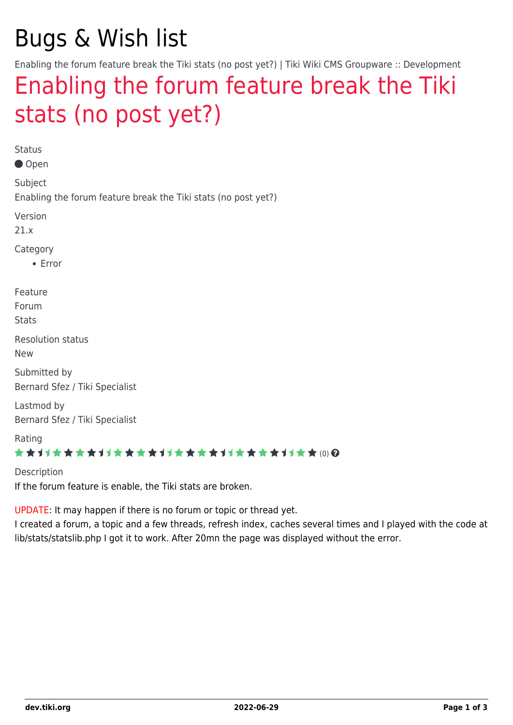# Bugs & Wish list

Enabling the forum feature break the Tiki stats (no post yet?) | Tiki Wiki CMS Groupware :: Development

## [Enabling the forum feature break the Tiki](https://dev.tiki.org/item7611-Enabling-the-forum-feature-break-the-Tiki-stats-no-post-yet) [stats \(no post yet?\)](https://dev.tiki.org/item7611-Enabling-the-forum-feature-break-the-Tiki-stats-no-post-yet)

Status

Open

Subject

Enabling the forum feature break the Tiki stats (no post yet?)

Version

21.x

Category

Error

Feature

Forum

**Stats** 

Resolution status

New

Submitted by Bernard Sfez / Tiki Specialist

Lastmod by Bernard Sfez / Tiki Specialist

Rating

#### ★★11★★★★11★★★★11★★★★11★★★★11★★ (0) @

Description If the forum feature is enable, the Tiki stats are broken.

UPDATE: It may happen if there is no forum or topic or thread yet.

I created a forum, a topic and a few threads, refresh index, caches several times and I played with the code at lib/stats/statslib.php I got it to work. After 20mn the page was displayed without the error.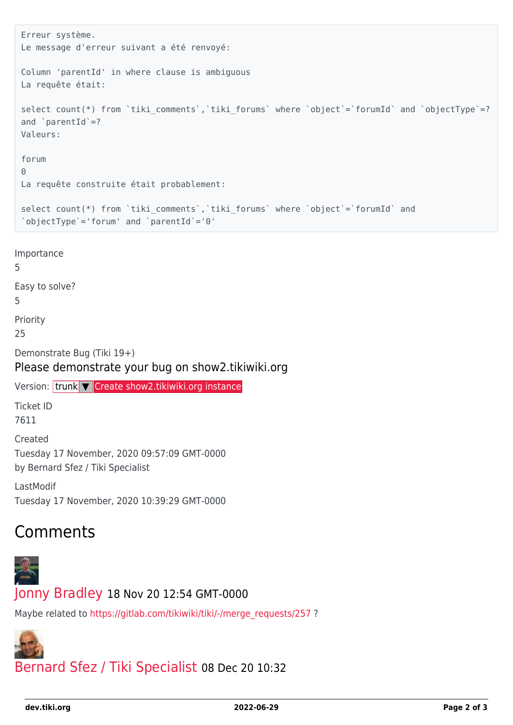```
Erreur système.
Le message d'erreur suivant a été renvoyé:
Column 'parentId' in where clause is ambiguous
La requête était:
select count(*) from `tiki comments`, `tiki forums` where `object`=`forumId` and `objectType`=?
and \partial parentId =?
Valeurs:
forum
\ThetaLa requête construite était probablement:
select count(*) from `tiki comments`, `tiki forums` where `object`=`forumId` and
`objectType`='forum' and `parentId`='0'
```
Importance 5 Easy to solve? 5 Priority 25 Demonstrate Bug (Tiki 19+) Please demonstrate your bug on show2.tikiwiki.org Version: trunk ▼ [Create show2.tikiwiki.org instance](#page--1-0) Ticket ID 7611 Created Tuesday 17 November, 2020 09:57:09 GMT-0000 by Bernard Sfez / Tiki Specialist LastModif

Tuesday 17 November, 2020 10:39:29 GMT-0000

## Comments



[Jonny Bradley](https://dev.tiki.org/user8515) 18 Nov 20 12:54 GMT-0000

Maybe related to [https://gitlab.com/tikiwiki/tiki/-/merge\\_requests/257](https://gitlab.com/tikiwiki/tiki/-/merge_requests/257) ?



[Bernard Sfez / Tiki Specialist](https://dev.tiki.org/user11581) 08 Dec 20 10:32